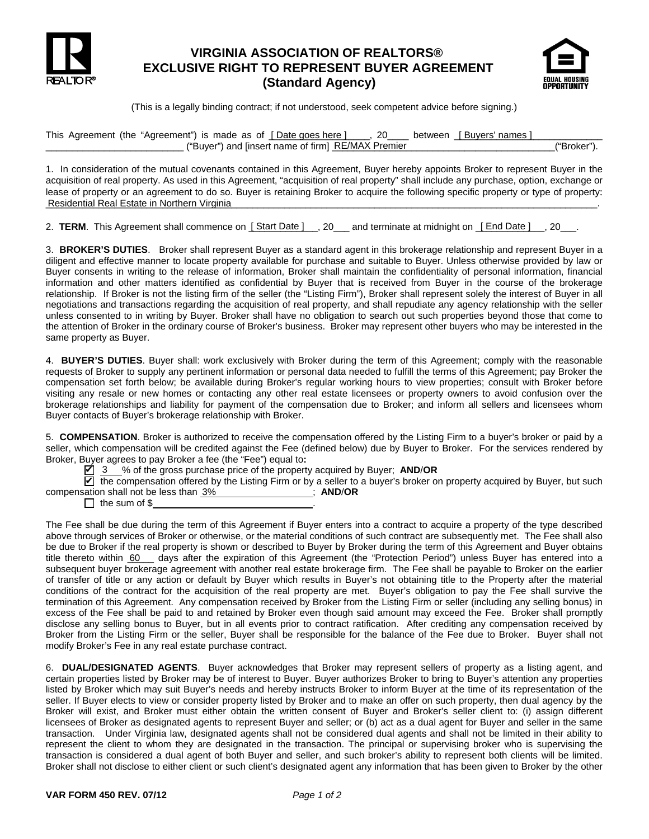

## **VIRGINIA ASSOCIATION OF REALTORS® EXCLUSIVE RIGHT TO REPRESENT BUYER AGREEMENT (Standard Agency)**



(This is a legally binding contract; if not understood, seek competent advice before signing.)

This Agreement (the "Agreement") is made as of \_\_\_\_\_\_\_\_\_\_\_\_\_\_\_\_\_\_\_, 20\_\_\_\_ between \_\_\_\_\_\_\_\_\_\_\_\_\_\_\_\_\_\_\_\_\_\_\_\_\_\_\_\_ [ Date goes here ] [ Buyers' names ] \_\_\_\_\_\_\_\_\_\_\_\_\_\_\_\_\_\_\_\_\_\_\_\_\_\_\_\_\_\_\_\_("Buyer") and [insert name of firm] <u>RE/MAX Premier</u> \_\_\_\_\_\_\_\_\_\_\_\_\_\_\_\_\_\_\_\_\_\_\_\_\_\_\_\_\_("Broker").

1. In consideration of the mutual covenants contained in this Agreement, Buyer hereby appoints Broker to represent Buyer in the acquisition of real property. As used in this Agreement, "acquisition of real property" shall include any purchase, option, exchange or lease of property or an agreement to do so. Buyer is retaining Broker to acquire the following specific property or type of property: Residential Real Estate in Northern Virginia **Construction and Construction Construction** Construction and Construction Construction and Construction Construction Construction and Construction Construction Construction Con

2. **TERM**. This Agreement shall commence on <u>[Start Date ]</u> \_\_, 20\_\_\_ and terminate at midnight on <u>[End Date ]</u> \_\_, 20\_\_\_.

3. **BROKER'S DUTIES**. Broker shall represent Buyer as a standard agent in this brokerage relationship and represent Buyer in a diligent and effective manner to locate property available for purchase and suitable to Buyer. Unless otherwise provided by law or Buyer consents in writing to the release of information, Broker shall maintain the confidentiality of personal information, financial information and other matters identified as confidential by Buyer that is received from Buyer in the course of the brokerage relationship. If Broker is not the listing firm of the seller (the "Listing Firm"), Broker shall represent solely the interest of Buyer in all negotiations and transactions regarding the acquisition of real property, and shall repudiate any agency relationship with the seller unless consented to in writing by Buyer. Broker shall have no obligation to search out such properties beyond those that come to the attention of Broker in the ordinary course of Broker's business. Broker may represent other buyers who may be interested in the same property as Buyer.

4. **BUYER'S DUTIES**. Buyer shall: work exclusively with Broker during the term of this Agreement; comply with the reasonable requests of Broker to supply any pertinent information or personal data needed to fulfill the terms of this Agreement; pay Broker the compensation set forth below; be available during Broker's regular working hours to view properties; consult with Broker before visiting any resale or new homes or contacting any other real estate licensees or property owners to avoid confusion over the brokerage relationships and liability for payment of the compensation due to Broker; and inform all sellers and licensees whom Buyer contacts of Buyer's brokerage relationship with Broker.

5. **COMPENSATION**. Broker is authorized to receive the compensation offered by the Listing Firm to a buyer's broker or paid by a seller, which compensation will be credited against the Fee (defined below) due by Buyer to Broker. For the services rendered by Broker, Buyer agrees to pay Broker a fee (the "Fee") equal to**:** 

■ 3 % of the gross purchase price of the property acquired by Buyer; AND/OR

 $\blacktriangleright$  the compensation offered by the Listing Firm or by a seller to a buyer's broker on property acquired by Buyer, but such compensation shall not be less than  $\frac{3\%}{2\%}$  **AND ////** AND/OR

 $\Box$  the sum of \$

there identified as controllant by Buyer that is received from Buyer that<br>to the listing firm of the seller (the "Listing Firm"), Broker shall represent sole<br>ons regarding the acquisition of real property, and shall repudi The Fee shall be due during the term of this Agreement if Buyer enters into a contract to acquire a property of the type described above through services of Broker or otherwise, or the material conditions of such contract are subsequently met. The Fee shall also be due to Broker if the real property is shown or described to Buyer by Broker during the term of this Agreement and Buyer obtains title thereto within  $60$  days after the expiration of this Agreement (the "Protection Period") unless Buyer has entered into a subsequent buyer brokerage agreement with another real estate brokerage firm. The Fee shall be payable to Broker on the earlier of transfer of title or any action or default by Buyer which results in Buyer's not obtaining title to the Property after the material conditions of the contract for the acquisition of the real property are met. Buyer's obligation to pay the Fee shall survive the termination of this Agreement. Any compensation received by Broker from the Listing Firm or seller (including any selling bonus) in excess of the Fee shall be paid to and retained by Broker even though said amount may exceed the Fee. Broker shall promptly disclose any selling bonus to Buyer, but in all events prior to contract ratification. After crediting any compensation received by Broker from the Listing Firm or the seller, Buyer shall be responsible for the balance of the Fee due to Broker. Buyer shall not modify Broker's Fee in any real estate purchase contract.

6. **DUAL/DESIGNATED AGENTS**. Buyer acknowledges that Broker may represent sellers of property as a listing agent, and certain properties listed by Broker may be of interest to Buyer. Buyer authorizes Broker to bring to Buyer's attention any properties listed by Broker which may suit Buyer's needs and hereby instructs Broker to inform Buyer at the time of its representation of the seller. If Buyer elects to view or consider property listed by Broker and to make an offer on such property, then dual agency by the Broker will exist, and Broker must either obtain the written consent of Buyer and Broker's seller client to: (i) assign different licensees of Broker as designated agents to represent Buyer and seller; or (b) act as a dual agent for Buyer and seller in the same transaction. Under Virginia law, designated agents shall not be considered dual agents and shall not be limited in their ability to represent the client to whom they are designated in the transaction. The principal or supervising broker who is supervising the transaction is considered a dual agent of both Buyer and seller, and such broker's ability to represent both clients will be limited. Broker shall not disclose to either client or such client's designated agent any information that has been given to Broker by the other